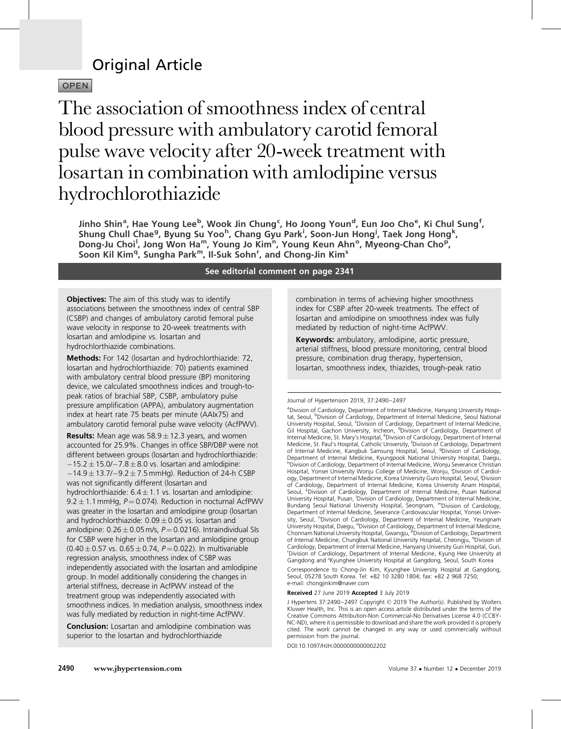# Original Article

**OPEN** 

The association of smoothness index of central blood pressure with ambulatory carotid femoral pulse wave velocity after 20-week treatment with losartan in combination with amlodipine versus hydrochlorothiazide

Jinho Shin<sup>a</sup>, Hae Young Lee<sup>b</sup>, Wook Jin Chung<sup>c</sup>, Ho Joong Youn<sup>d</sup>, Eun Joo Cho<sup>e</sup>, Ki Chul Sung<sup>f</sup>, Shung Chull Chae<sup>g</sup>, Byung Su Yoo<sup>h</sup>, Chang Gyu Park<sup>i</sup>, Soon-Jun Hong<sup>i</sup>, Taek Jong Hong<sup>k</sup>, Dong-Ju Choi<sup>l</sup>, Jong Won Ha<sup>m</sup>, Young Jo Kim<sup>n</sup>, Young Keun Ahn°, Myeong-Chan Cho<sup>p</sup>, Soon Kil Kim<sup>q</sup>, Sungha Park<sup>m</sup>, Il-Suk Sohn<sup>r</sup>, and Chong-Jin Kim<sup>s</sup>

### See editorial comment on page 2341

**Objectives:** The aim of this study was to identify associations between the smoothness index of central SBP (CSBP) and changes of ambulatory carotid femoral pulse wave velocity in response to 20-week treatments with losartan and amlodipine vs. losartan and hydrochlorthiazide combinations.

Methods: For 142 (losartan and hydrochlorthiazide: 72, losartan and hydrochlorthiazide: 70) patients examined with ambulatory central blood pressure (BP) monitoring device, we calculated smoothness indices and trough-topeak ratios of brachial SBP, CSBP, ambulatory pulse pressure amplification (APPA), ambulatory augmentation index at heart rate 75 beats per minute (AAIx75) and ambulatory carotid femoral pulse wave velocity (AcfPWV).

**Results:** Mean age was  $58.9 \pm 12.3$  years, and women accounted for 25.9%. Changes in office SBP/DBP were not different between groups (losartan and hydrochlorthiazide:  $-15.2 \pm 15.0$ / $-7.8 \pm 8.0$  vs. losartan and amlodipine:  $-14.9 \pm 13.7$ / $-9.2 \pm 7.5$  mmHg). Reduction of 24-h CSBP was not significantly different (losartan and hydrochlorthiazide:  $6.4 \pm 1.1$  vs. losartan and amlodipine: 9.2  $\pm$  1.1 mmHg, P  $=$  0.074). Reduction in nocturnal AcfPWV was greater in the losartan and amlodipine group (losartan and hydrochlorthiazide: 0.09 $\pm$ 0.05 vs. losartan and amlodipine:  $0.26 \pm 0.05$  m/s,  $P = 0.0216$ ). Intraindividual SIs for CSBP were higher in the losartan and amlodipine group  $(0.40 \pm 0.57 \text{ vs. } 0.65 \pm 0.74, P = 0.022)$ . In multivariable regression analysis, smoothness index of CSBP was independently associated with the losartan and amlodipine group. In model additionally considering the changes in arterial stiffness, decrease in AcfPWV instead of the treatment group was independently associated with smoothness indices. In mediation analysis, smoothness index was fully mediated by reduction in night-time AcfPWV.

Conclusion: Losartan and amlodipine combination was superior to the losartan and hydrochlorthiazide

combination in terms of achieving higher smoothness index for CSBP after 20-week treatments. The effect of losartan and amlodipine on smoothness index was fully mediated by reduction of night-time AcfPWV.

Keywords: ambulatory, amlodipine, aortic pressure, arterial stiffness, blood pressure monitoring, central blood pressure, combination drug therapy, hypertension, losartan, smoothness index, thiazides, trough-peak ratio

#### Journal of Hypertension 2019, 37:2490–2497

Correspondence to Chong-Jin Kim, Kyunghee University Hospital at Gangdong, Seoul, 05278 South Korea. Tel: +82 10 3280 1804; fax: +82 2 968 7250; e-mail: [chongjinkim@naver.com](mailto:chongjinkim@naver.com)

Received 27 June 2019 Accepted 3 July 2019

DOI:10.1097/HJH.0000000000002202

<sup>&</sup>lt;sup>a</sup>Division of Cardiology, Department of Internal Medicine, Hanyang University Hospital, Seoul, <sup>b</sup>Division of Cardiology, Department of Internal Medicine, Seoul National University Hospital, Seoul, <sup>c</sup>Division of Cardiology, Department of Internal Medicine,<br>Gil Hospital, Gachon University, Incheon, <sup>d</sup>Division of Cardiology, Department of Internal Medicine, St. Mary's Hospital, <sup>e</sup>Division of Cardiology, Department of Internal Medicine, St. Paul's Hospital, Catholic University, <sup>f</sup> Division of Cardiology, Department of Internal Medicine, Kangbuk Samsung Hospital, Seoul, <sup>g</sup> Division of Cardiology, Department of Internal Medicine, Kyungpook National University Hospital, Daegu,<br><sup>h</sup>Division of Cardiology, Department of Internal Medicine, Wonju Severance Christian Hospital, Yonsei University Wonju College of Medicine, Wonju, <sup>i</sup>Division of Cardiology, Department of Internal Medicine, Korea University Guro Hospital, Seoul, <sup>j</sup>Division of Cardiology, Department of Internal Medicine, Korea University Anam Hospital, Seoul, <sup>k</sup>Division of Cardiology, Department of Internal Medicine, Pusan National University Hospital, Pusan, <sup>I</sup>Division of Cardiology, Department of Internal Medicine,<br>Bundang Seoul National University Hospital, Seongnam, <sup>m</sup>Division of Cardiology, Department of Internal Medicine, Severance Cardiovascular Hospital, Yonsei University, Seoul, <sup>n</sup>Division of Cardiology, Department of Internal Medicine, Yeungnam<br>University Hospital, Daegu, <sup>o</sup>Division of Cardiology, Department of Internal Medicine,<br>Chonnam National University Hospital, Gwangju, <sup>p</sup>Di of Internal Medicine, Chungbuk National University Hospital, Cheongju, <sup>q</sup>Division of Cardiology, Department of Internal Medicine, Hanyang University Guri Hospital, Guri, r Division of Cardiology, Department of Internal Medicine, Kyung Hee University at Gangdong and <sup>s</sup>Kyunghee University Hospital at Gangdong, Seoul, South Korea

J Hypertens 37:2490–2497 Copyright © 2019 The Author(s). Published by Wolters Kluwer Health, Inc. This is an open access article distributed under the terms of the Creative Commons Attribution-Non Commercial-No Derivatives License 4.0 (CCBY-NC-ND), where it is permissible to download and share the work provided it is properly cited. The work cannot be changed in any way or used commercially without permission from the journal.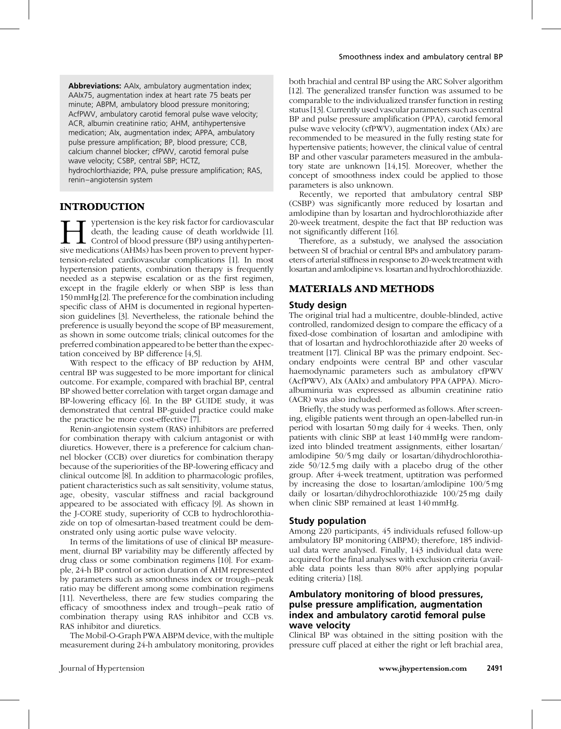Abbreviations: AAIx, ambulatory augmentation index; AAIx75, augmentation index at heart rate 75 beats per minute; ABPM, ambulatory blood pressure monitoring; AcfPWV, ambulatory carotid femoral pulse wave velocity; ACR, albumin creatinine ratio; AHM, antihypertensive medication; AIx, augmentation index; APPA, ambulatory pulse pressure amplification; BP, blood pressure; CCB, calcium channel blocker; cfPWV, carotid femoral pulse wave velocity; CSBP, central SBP; HCTZ,

hydrochlorthiazide; PPA, pulse pressure amplification; RAS, renin–angiotensin system

# INTRODUCTION

ypertension is the key risk factor for cardiovascular death, the leading cause of death worldwide [1].  $\mathsf{\mathsf{L}}$  Control of blood pressure (BP) using antihypertensive medications (AHMs) has been proven to prevent hypertension-related cardiovascular complications [\[1\]](#page-6-0). In most hypertension patients, combination therapy is frequently needed as a stepwise escalation or as the first regimen, except in the fragile elderly or when SBP is less than 150 mmHg [\[2\]](#page-6-0). The preference for the combination including specific class of AHM is documented in regional hypertension guidelines [\[3\]](#page-6-0). Nevertheless, the rationale behind the preference is usually beyond the scope of BP measurement, as shown in some outcome trials; clinical outcomes for the preferred combination appeared to be better than the expectation conceived by BP difference [\[4,5\]](#page-6-0).

With respect to the efficacy of BP reduction by AHM, central BP was suggested to be more important for clinical outcome. For example, compared with brachial BP, central BP showed better correlation with target organ damage and BP-lowering efficacy [\[6\].](#page-6-0) In the BP GUIDE study, it was demonstrated that central BP-guided practice could make the practice be more cost-effective [\[7\]](#page-6-0).

Renin-angiotensin system (RAS) inhibitors are preferred for combination therapy with calcium antagonist or with diuretics. However, there is a preference for calcium channel blocker (CCB) over diuretics for combination therapy because of the superiorities of the BP-lowering efficacy and clinical outcome [\[8\].](#page-6-0) In addition to pharmacologic profiles, patient characteristics such as salt sensitivity, volume status, age, obesity, vascular stiffness and racial background appeared to be associated with efficacy [\[9\].](#page-6-0) As shown in the J-CORE study, superiority of CCB to hydrochlorothiazide on top of olmesartan-based treatment could be demonstrated only using aortic pulse wave velocity.

In terms of the limitations of use of clinical BP measurement, diurnal BP variability may be differently affected by drug class or some combination regimens [\[10\]](#page-6-0). For example, 24-h BP control or action duration of AHM represented by parameters such as smoothness index or trough–peak ratio may be different among some combination regimens [\[11\].](#page-6-0) Nevertheless, there are few studies comparing the efficacy of smoothness index and trough–peak ratio of combination therapy using RAS inhibitor and CCB vs. RAS inhibitor and diuretics.

The Mobil-O-Graph PWA ABPM device, with the multiple measurement during 24-h ambulatory monitoring, provides

both brachial and central BP using the ARC Solver algorithm [\[12\].](#page-6-0) The generalized transfer function was assumed to be comparable to the individualized transfer function in resting status [\[13\]](#page-6-0). Currently used vascular parameters such as central BP and pulse pressure amplification (PPA), carotid femoral pulse wave velocity (cfPWV), augmentation index (AIx) are recommended to be measured in the fully resting state for hypertensive patients; however, the clinical value of central BP and other vascular parameters measured in the ambulatory state are unknown [\[14,15\]](#page-6-0). Moreover, whether the concept of smoothness index could be applied to those parameters is also unknown.

Recently, we reported that ambulatory central SBP (CSBP) was significantly more reduced by losartan and amlodipine than by losartan and hydrochlorothiazide after 20-week treatment, despite the fact that BP reduction was not significantly different [\[16\]](#page-7-0).

Therefore, as a substudy, we analysed the association between SI of brachial or central BPs and ambulatory parameters of arterial stiffness in response to 20-week treatment with losartan and amlodipine vs. losartan and hydrochlorothiazide.

## MATERIALS AND METHODS

### Study design

The original trial had a multicentre, double-blinded, active controlled, randomized design to compare the efficacy of a fixed-dose combination of losartan and amlodipine with that of losartan and hydrochlorothiazide after 20 weeks of treatment [\[17\].](#page-7-0) Clinical BP was the primary endpoint. Secondary endpoints were central BP and other vascular haemodynamic parameters such as ambulatory cfPWV (AcfPWV), AIx (AAIx) and ambulatory PPA (APPA). Microalbuminuria was expressed as albumin creatinine ratio (ACR) was also included.

Briefly, the study was performed as follows. After screening, eligible patients went through an open-labelled run-in period with losartan 50 mg daily for 4 weeks. Then, only patients with clinic SBP at least 140 mmHg were randomized into blinded treatment assignments, either losartan/ amlodipine 50/5 mg daily or losartan/dihydrochlorothiazide 50/12.5 mg daily with a placebo drug of the other group. After 4-week treatment, uptitration was performed by increasing the dose to losartan/amlodipine 100/5 mg daily or losartan/dihydrochlorothiazide 100/25 mg daily when clinic SBP remained at least 140 mmHg.

### Study population

Among 220 participants, 45 individuals refused follow-up ambulatory BP monitoring (ABPM); therefore, 185 individual data were analysed. Finally, 143 individual data were acquired for the final analyses with exclusion criteria (available data points less than 80% after applying popular editing criteria) [\[18\]](#page-7-0).

### Ambulatory monitoring of blood pressures, pulse pressure amplification, augmentation index and ambulatory carotid femoral pulse wave velocity

Clinical BP was obtained in the sitting position with the pressure cuff placed at either the right or left brachial area,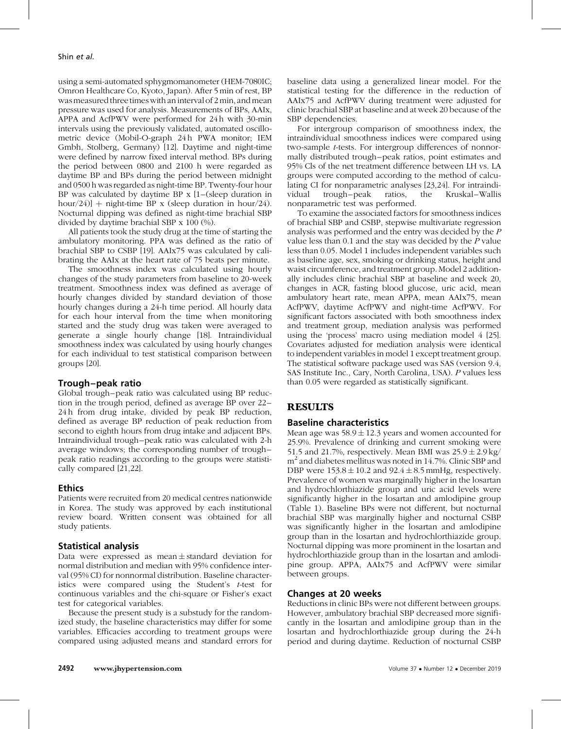using a semi-automated sphygmomanometer (HEM-7080IC; Omron Healthcare Co, Kyoto, Japan). After 5 min of rest, BP was measured three times with an interval of 2 min, and mean pressure was used for analysis. Measurements of BPs, AAIx, APPA and AcfPWV were performed for 24 h with 30-min intervals using the previously validated, automated oscillometric device (Mobil-O-graph 24 h PWA monitor; IEM Gmbh, Stolberg, Germany) [\[12\].](#page-6-0) Daytime and night-time were defined by narrow fixed interval method. BPs during the period between 0800 and 2100 h were regarded as daytime BP and BPs during the period between midnight and 0500 h was regarded as night-time BP. Twenty-four hour BP was calculated by daytime BP x [1–(sleep duration in hour/24)]  $+$  night-time BP x (sleep duration in hour/24). Nocturnal dipping was defined as night-time brachial SBP divided by daytime brachial SBP x 100 (%).

All patients took the study drug at the time of starting the ambulatory monitoring. PPA was defined as the ratio of brachial SBP to CSBP [\[19\].](#page-7-0) AAIx75 was calculated by calibrating the AAIx at the heart rate of 75 beats per minute.

The smoothness index was calculated using hourly changes of the study parameters from baseline to 20-week treatment. Smoothness index was defined as average of hourly changes divided by standard deviation of those hourly changes during a 24-h time period. All hourly data for each hour interval from the time when monitoring started and the study drug was taken were averaged to generate a single hourly change [\[18\].](#page-7-0) Intraindividual smoothness index was calculated by using hourly changes for each individual to test statistical comparison between groups [\[20\].](#page-7-0)

## Trough–peak ratio

Global trough–peak ratio was calculated using BP reduction in the trough period, defined as average BP over 22– 24 h from drug intake, divided by peak BP reduction, defined as average BP reduction of peak reduction from second to eighth hours from drug intake and adjacent BPs. Intraindividual trough–peak ratio was calculated with 2-h average windows; the corresponding number of trough– peak ratio readings according to the groups were statistically compared [\[21,22\]](#page-7-0).

# Ethics

Patients were recruited from 20 medical centres nationwide in Korea. The study was approved by each institutional review board. Written consent was obtained for all study patients.

## Statistical analysis

Data were expressed as mean $\pm$ standard deviation for normal distribution and median with 95% confidence interval (95% CI) for nonnormal distribution. Baseline characteristics were compared using the Student's t-test for continuous variables and the chi-square or Fisher's exact test for categorical variables.

Because the present study is a substudy for the randomized study, the baseline characteristics may differ for some variables. Efficacies according to treatment groups were compared using adjusted means and standard errors for baseline data using a generalized linear model. For the statistical testing for the difference in the reduction of AAIx75 and AcfPWV during treatment were adjusted for clinic brachial SBP at baseline and at week 20 because of the SBP dependencies.

For intergroup comparison of smoothness index, the intraindividual smoothness indices were compared using two-sample t-tests. For intergroup differences of nonnormally distributed trough–peak ratios, point estimates and 95% Cls of the net treatment difference between LH vs. LA groups were computed according to the method of calculating CI for nonparametric analyses [\[23,24\]](#page-7-0). For intraindividual trough–peak ratios, the Kruskal–Wallis nonparametric test was performed.

To examine the associated factors for smoothness indices of brachial SBP and CSBP, stepwise multivariate regression analysis was performed and the entry was decided by the P value less than 0.1 and the stay was decided by the P value less than 0.05. Model 1 includes independent variables such as baseline age, sex, smoking or drinking status, height and waist circumference, and treatment group. Model 2 additionally includes clinic brachial SBP at baseline and week 20, changes in ACR, fasting blood glucose, uric acid, mean ambulatory heart rate, mean APPA, mean AAIx75, mean AcfPWV, daytime AcfPWV and night-time AcfPWV. For significant factors associated with both smoothness index and treatment group, mediation analysis was performed using the 'process' macro using mediation model 4 [\[25\]](#page-7-0). Covariates adjusted for mediation analysis were identical to independent variables in model 1 except treatment group. The statistical software package used was SAS (version 9.4, SAS Institute Inc., Cary, North Carolina, USA). P values less than 0.05 were regarded as statistically significant.

# RESULTS

# Baseline characteristics

Mean age was 58.9  $\pm$  12.3 years and women accounted for 25.9%. Prevalence of drinking and current smoking were 51.5 and 21.7%, respectively. Mean BMI was  $25.9 \pm 2.9$  kg/  $m<sup>2</sup>$  and diabetes mellitus was noted in 14.7%. Clinic SBP and DBP were  $153.8 \pm 10.2$  and  $92.4 \pm 8.5$  mmHg, respectively. Prevalence of women was marginally higher in the losartan and hydrochlorthiazide group and uric acid levels were significantly higher in the losartan and amlodipine group (Table 1). Baseline BPs were not different, but nocturnal brachial SBP was marginally higher and nocturnal CSBP was significantly higher in the losartan and amlodipine group than in the losartan and hydrochlorthiazide group. Nocturnal dipping was more prominent in the losartan and hydrochlorthiazide group than in the losartan and amlodipine group. APPA, AAIx75 and AcfPWV were similar between groups.

# Changes at 20 weeks

Reductions in clinic BPs were not different between groups. However, ambulatory brachial SBP decreased more significantly in the losartan and amlodipine group than in the losartan and hydrochlorthiazide group during the 24-h period and during daytime. Reduction of nocturnal CSBP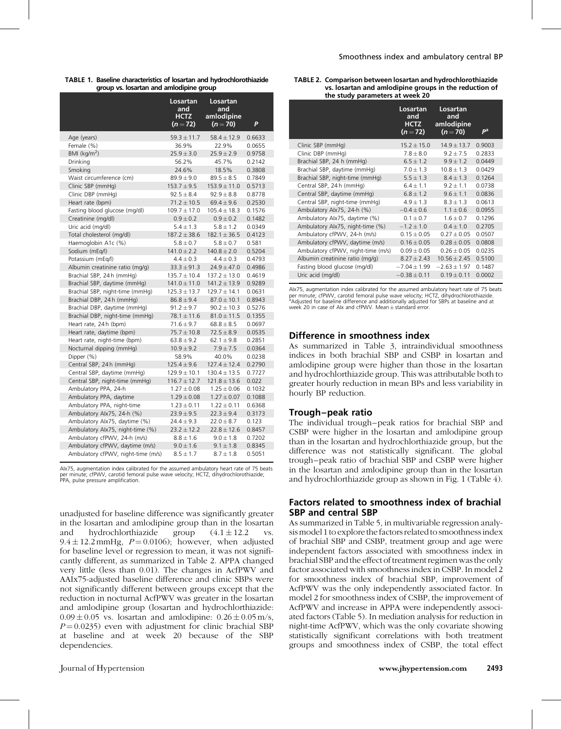| TABLE 1. Baseline characteristics of losartan and hydrochlorothiazide |
|-----------------------------------------------------------------------|
| group vs. losartan and amlodipine group                               |

|                                    | Losartan<br>and<br><b>HCTZ</b><br>$(n=72)$ | Losartan<br>and<br>amlodipine<br>$(n=70)$ | P      |
|------------------------------------|--------------------------------------------|-------------------------------------------|--------|
| Age (years)                        | $59.3 \pm 11.7$                            | $58.4 \pm 12.9$                           | 0.6633 |
| Female (%)                         | 36.9%                                      | 22.9%                                     | 0.0655 |
| BMI $(kq/m2)$                      | $25.9 \pm 3.0$                             | $25.9 \pm 2.9$                            | 0.9758 |
| Drinking                           | 56.2%                                      | 45.7%                                     | 0.2142 |
| Smoking                            | 24.6%                                      | 18.5%                                     | 0.3808 |
| Waist circumference (cm)           | $89.9 \pm 9.0$                             | $89.5 \pm 8.5$                            | 0.7849 |
| Clinic SBP (mmHg)                  | $153.7 \pm 9.5$                            | $153.9 \pm 11.0$                          | 0.5713 |
| Clinic DBP (mmHq)                  | $92.5 \pm 8.4$                             | $92.9 \pm 8.8$                            | 0.8778 |
| Heart rate (bpm)                   | $71.2 \pm 10.5$                            | $69.4 \pm 9.6$                            | 0.2530 |
| Fasting blood glucose (mg/dl)      | $109.7 \pm 17.0$                           | $105.4 \pm 18.3$                          | 0.1576 |
| Creatinine (mg/dl)                 | $0.9 \pm 0.2$                              | $0.9 \pm 0.2$                             | 0.1482 |
| Uric acid (mg/dl)                  | $5.4 \pm 1.3$                              | $5.8 \pm 1.2$                             | 0.0349 |
| Total cholesterol (mg/dl)          | $187.2 \pm 38.6$                           | $182.1 \pm 36.5$                          | 0.4123 |
| Haemoglobin A1c (%)                | $5.8 \pm 0.7$                              | $5.8 \pm 0.7$                             | 0.581  |
| Sodium (mEq/l)                     | $141.0 \pm 2.2$                            | $140.8 \pm 2.0$                           | 0.5204 |
| Potassium (mEg/l)                  | $4.4 \pm 0.3$                              | $4.4 \pm 0.3$                             | 0.4793 |
| Albumin creatinine ratio (mg/g)    | $33.3 \pm 91.3$                            | $24.9 \pm 47.0$                           | 0.4986 |
| Brachial SBP, 24h (mmHg)           | $135.7 \pm 10.4$                           | $137.2 \pm 13.0$                          | 0.4619 |
| Brachial SBP, daytime (mmHg)       | $141.0 \pm 11.0$                           | $141.2 \pm 13.9$                          | 0.9289 |
| Brachial SBP, night-time (mmHg)    | $125.3 \pm 13.7$                           | $129.7 \pm 14.1$                          | 0.0631 |
| Brachial DBP, 24h (mmHq)           | $86.8 \pm 9.4$                             | $87.0 \pm 10.1$                           | 0.8943 |
| Brachial DBP, daytime (mmHg)       | $91.2 \pm 9.7$                             | $90.2 \pm 10.3$                           | 0.5276 |
| Brachial DBP, night-time (mmHg)    | $78.1 \pm 11.6$                            | $81.0 \pm 11.5$                           | 0.1355 |
| Heart rate, 24h (bpm)              | $71.6 \pm 9.7$                             | $68.8 \pm 8.5$                            | 0.0697 |
| Heart rate, daytime (bpm)          | $75.7 \pm 10.8$                            | $72.5 \pm 8.9$                            | 0.0535 |
| Heart rate, night-time (bpm)       | $63.8 \pm 9.2$                             | $62.1 \pm 9.8$                            | 0.2851 |
| Nocturnal dipping (mmHg)           | $10.9 \pm 9.2$                             | $7.9 \pm 7.5$                             | 0.0364 |
| Dipper (%)                         | 58.9%                                      | 40.0%                                     | 0.0238 |
| Central SBP, 24h (mmHq)            | $125.4 \pm 9.6$                            | $127.4 \pm 12.4$                          | 0.2790 |
| Central SBP, daytime (mmHg)        | $129.9 \pm 10.1$                           | $130.4 \pm 13.5$                          | 0.7727 |
| Central SBP, night-time (mmHg)     | $116.7 \pm 12.7$                           | $121.8 \pm 13.6$                          | 0.022  |
| Ambulatory PPA, 24-h               | $1.27 \pm 0.08$                            | $1.25 \pm 0.06$                           | 0.1032 |
| Ambulatory PPA, daytime            | $1.29 \pm 0.08$                            | $1.27 \pm 0.07$                           | 0.1088 |
| Ambulatory PPA, night-time         | $1.23 \pm 0.11$                            | $1.22 \pm 0.11$                           | 0.6368 |
| Ambulatory Alx75, 24-h (%)         | $23.9 \pm 9.5$                             | $22.3 \pm 9.4$                            | 0.3173 |
| Ambulatory Alx75, daytime (%)      | $24.4 \pm 9.3$                             | $22.0 \pm 8.7$                            | 0.123  |
| Ambulatory Alx75, night-time (%)   | $23.2 \pm 12.2$                            | $22.8 \pm 12.6$                           | 0.8457 |
| Ambulatory cfPWV, 24-h (m/s)       | $8.8 \pm 1.6$                              | $9.0 \pm 1.8$                             | 0.7202 |
| Ambulatory cfPWV, daytime (m/s)    | $9.0 \pm 1.6$                              | $9.1 \pm 1.8$                             | 0.8345 |
| Ambulatory cfPWV, night-time (m/s) | $8.5 \pm 1.7$                              | $8.7 \pm 1.8$                             | 0.5051 |

AIx75, augmentation index calibrated for the assumed ambulatory heart rate of 75 beats per minute; cfPWV, carotid femoral pulse wave velocity; HCTZ, dihydrochlorothiazide; PPA, pulse pressure amplification.

unadjusted for baseline difference was significantly greater in the losartan and amlodipine group than in the losartan and hydrochlorthiazide group  $(4.1 \pm 12.2 \text{ vs.}$  $9.4 \pm 12.2$  mmHg,  $P = 0.0106$ ; however, when adjusted for baseline level or regression to mean, it was not significantly different, as summarized in Table 2. APPA changed very little (less than 0.01). The changes in AcfPWV and AAIx75-adjusted baseline difference and clinic SBPs were not significantly different between groups except that the reduction in nocturnal AcfPWV was greater in the losartan and amlodipine group (losartan and hydrochlorthiazide:  $0.09 \pm 0.05$  vs. losartan and amlodipine:  $0.26 \pm 0.05$  m/s,  $P = 0.0235$ ) even with adjustment for clinic brachial SBP at baseline and at week 20 because of the SBP dependencies.

|                                    | Losartan<br>and<br><b>HCTZ</b><br>$(n=72)$ | Losartan<br>and<br>amlodipine<br>$(n=70)$ | $P^{\rm a}$ |
|------------------------------------|--------------------------------------------|-------------------------------------------|-------------|
| Clinic SBP (mmHg)                  | $15.2 \pm 15.0$                            | $14.9 + 13.7$                             | 0.9003      |
| Clinic DBP (mmHg)                  | $7.8 \pm 8.0$                              | $9.2 \pm 7.5$                             | 0.2833      |
| Brachial SBP, 24 h (mmHg)          | $6.5 \pm 1.2$                              | $9.9 \pm 1.2$                             | 0.0449      |
| Brachial SBP, daytime (mmHg)       | $7.0 \pm 1.3$                              | $10.8 \pm 1.3$                            | 0.0429      |
| Brachial SBP, night-time (mmHg)    | $5.5 \pm 1.3$                              | $8.4 \pm 1.3$                             | 0.1264      |
| Central SBP, 24h (mmHq)            | $6.4 \pm 1.1$                              | $9.2 \pm 1.1$                             | 0.0738      |
| Central SBP, daytime (mmHg)        | $6.8 \pm 1.2$                              | $9.6 \pm 1.1$                             | 0.0836      |
| Central SBP, night-time (mmHg)     | $4.9 \pm 1.3$                              | $8.3 \pm 1.3$                             | 0.0613      |
| Ambulatory Alx75, 24-h (%)         | $-0.4 \pm 0.6$                             | $1.1 \pm 0.6$                             | 0.0955      |
| Ambulatory Alx75, daytime (%)      | $0.1 \pm 0.7$                              | $1.6 + 0.7$                               | 0.1296      |
| Ambulatory Alx75, night-time (%)   | $-1.2 \pm 1.0$                             | $0.4 \pm 1.0$                             | 0.2705      |
| Ambulatory cfPWV, 24-h (m/s)       | $0.15 \pm 0.05$                            | $0.27 \pm 0.05$                           | 0.0507      |
| Ambulatory cfPWV, daytime (m/s)    | $0.16 \pm 0.05$                            | $0.28 \pm 0.05$                           | 0.0808      |
| Ambulatory cfPWV, night-time (m/s) | $0.09 \pm 0.05$                            | $0.26 \pm 0.05$                           | 0.0235      |
| Albumin creatinine ratio (mg/g)    | $8.27 \pm 2.43$                            | $10.56 \pm 2.45$                          | 0.5100      |
| Fasting blood glucose (mg/dl)      | $-7.04 \pm 1.99$                           | $-2.63 \pm 1.97$                          | 0.1487      |
| Uric acid (mg/dl)                  | $-0.38 \pm 0.11$                           | $0.19 \pm 0.11$                           | 0.0002      |
|                                    |                                            |                                           |             |

AIx75, augmentation index calibrated for the assumed ambulatory heart rate of 75 beats per minute; cfPWV, carotid femoral pulse wave velocity; HCTZ, dihydrochlorothiazide.<br>ªAdjusted for baseline difference and additionally adjusted for SBPs at baseline and at week 20 in case of Alx and cfPWV. Mean $\pm$ standard error.

### Difference in smoothness index

As summarized in Table 3, intraindividual smoothness indices in both brachial SBP and CSBP in losartan and amlodipine group were higher than those in the losartan and hydrochlorthiazide group. This was attributable both to greater hourly reduction in mean BPs and less variability in hourly BP reduction.

### Trough–peak ratio

The individual trough–peak ratios for brachial SBP and CSBP were higher in the losartan and amlodipine group than in the losartan and hydrochlorthiazide group, but the difference was not statistically significant. The global trough–peak ratio of brachial SBP and CSBP were higher in the losartan and amlodipine group than in the losartan and hydrochlorthiazide group as shown in Fig. 1 (Table 4).

### Factors related to smoothness index of brachial SBP and central SBP

As summarized in Table 5, in multivariable regression analysis model 1 to explore the factors related to smoothness index of brachial SBP and CSBP, treatment group and age were independent factors associated with smoothness index in brachial SBP and the effect of treatment regimen was the only factor associated with smoothness index in CSBP. In model 2 for smoothness index of brachial SBP, improvement of AcfPWV was the only independently associated factor. In model 2 for smoothness index of CSBP, the improvement of AcfPWV and increase in APPA were independently associated factors (Table 5). In mediation analysis for reduction in night-time AcfPWV, which was the only covariate showing statistically significant correlations with both treatment groups and smoothness index of CSBP, the total effect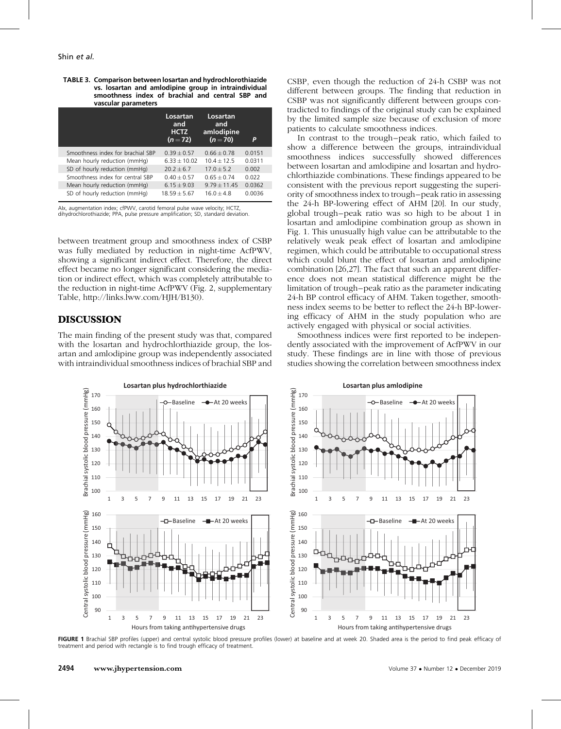| TABLE 3. Comparison between losartan and hydrochlorothiazide |  |  |  |  |
|--------------------------------------------------------------|--|--|--|--|
| vs. losartan and amlodipine group in intraindividual         |  |  |  |  |
| smoothness index of brachial and central SBP and             |  |  |  |  |
| vascular parameters                                          |  |  |  |  |

|                                   | Losartan<br>and<br><b>HCTZ</b><br>$(n=72)$ | Losartan<br>and<br>amlodipine<br>$(n=70)$ | P      |
|-----------------------------------|--------------------------------------------|-------------------------------------------|--------|
| Smoothness index for brachial SBP | $0.39 + 0.57$                              | $0.66 + 0.78$                             | 0.0151 |
| Mean hourly reduction (mmHg)      | $6.33 + 10.02$                             | $104 + 125$                               | 0.0311 |
| SD of hourly reduction (mmHg)     | $20.2 + 6.7$                               | $17.0 + 5.2$                              | 0.002  |
| Smoothness index for central SBP  | $0.40 + 0.57$                              | $0.65 + 0.74$                             | 0.022  |
| Mean hourly reduction (mmHq)      | $6.15 + 9.03$                              | $9.79 + 11.45$                            | 0.0362 |
| SD of hourly reduction (mmHg)     | $18.59 + 5.67$                             | $160 + 48$                                | 0.0036 |

AIx, augmentation index; cfPWV, carotid femoral pulse wave velocity; HCTZ, dihydrochlorothiazide; PPA, pulse pressure amplification; SD, standard deviation.

between treatment group and smoothness index of CSBP was fully mediated by reduction in night-time AcfPWV, showing a significant indirect effect. Therefore, the direct effect became no longer significant considering the mediation or indirect effect, which was completely attributable to the reduction in night-time AcfPWV (Fig. 2, supplementary Table, [http://links.lww.com/HJH/B130\)](http://links.lww.com/HJH/B130).

# DISCUSSION

The main finding of the present study was that, compared with the losartan and hydrochlorthiazide group, the losartan and amlodipine group was independently associated with intraindividual smoothness indices of brachial SBP and CSBP, even though the reduction of 24-h CSBP was not different between groups. The finding that reduction in CSBP was not significantly different between groups contradicted to findings of the original study can be explained by the limited sample size because of exclusion of more patients to calculate smoothness indices.

In contrast to the trough–peak ratio, which failed to show a difference between the groups, intraindividual smoothness indices successfully showed differences between losartan and amlodipine and losartan and hydrochlorthiazide combinations. These findings appeared to be consistent with the previous report suggesting the superiority of smoothness index to trough–peak ratio in assessing the 24-h BP-lowering effect of AHM [\[20\]](#page-7-0). In our study, global trough–peak ratio was so high to be about 1 in losartan and amlodipine combination group as shown in Fig. 1. This unusually high value can be attributable to the relatively weak peak effect of losartan and amlodipine regimen, which could be attributable to occupational stress which could blunt the effect of losartan and amlodipine combination [\[26,27\]](#page-7-0). The fact that such an apparent difference does not mean statistical difference might be the limitation of trough–peak ratio as the parameter indicating 24-h BP control efficacy of AHM. Taken together, smoothness index seems to be better to reflect the 24-h BP-lowering efficacy of AHM in the study population who are actively engaged with physical or social activities.

Smoothness indices were first reported to be independently associated with the improvement of AcfPWV in our study. These findings are in line with those of previous studies showing the correlation between smoothness index



FIGURE 1 Brachial SBP profiles (upper) and central systolic blood pressure profiles (lower) at baseline and at week 20. Shaded area is the period to find peak efficacy of treatment and period with rectangle is to find trough efficacy of treatment.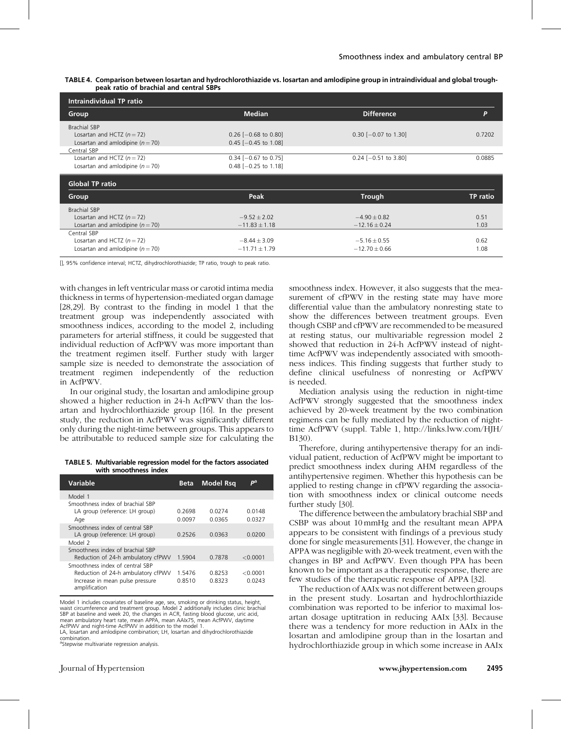|                                         | TABLE 4. Comparison between losartan and hydrochlorothiazide vs. losartan and amlodipine group in intraindividual and global trough- |
|-----------------------------------------|--------------------------------------------------------------------------------------------------------------------------------------|
| peak ratio of brachial and central SBPs |                                                                                                                                      |

| Intraindividual TP ratio                                                                    |                                                  |                                       |                 |  |
|---------------------------------------------------------------------------------------------|--------------------------------------------------|---------------------------------------|-----------------|--|
| Group                                                                                       | <b>Median</b>                                    | <b>Difference</b>                     | P               |  |
| <b>Brachial SBP</b><br>Losartan and HCTZ $(n = 72)$<br>Losartan and amlodipine ( $n = 70$ ) | $0.26$ [-0.68 to 0.80]<br>$0.45$ [-0.45 to 1.08] | $0.30$ [-0.07 to 1.30]                | 0.7202          |  |
| Central SBP<br>Losartan and HCTZ $(n = 72)$<br>Losartan and amlodipine ( $n = 70$ )         | $0.34$ [-0.67 to 0.75]<br>$0.48$ [-0.25 to 1.18] | $0.24$ [-0.51 to 3.80]                | 0.0885          |  |
|                                                                                             |                                                  |                                       |                 |  |
| <b>Global TP ratio</b>                                                                      |                                                  |                                       |                 |  |
| Group                                                                                       | Peak                                             | <b>Trough</b>                         | <b>TP</b> ratio |  |
| <b>Brachial SBP</b><br>Losartan and HCTZ $(n = 72)$<br>Losartan and amlodipine ( $n = 70$ ) | $-9.52 \pm 2.02$<br>$-11.83 \pm 1.18$            | $-4.90 \pm 0.82$<br>$-12.16 \pm 0.24$ | 0.51<br>1.03    |  |

[], 95% confidence interval; HCTZ, dihydrochlorothiazide; TP ratio, trough to peak ratio.

with changes in left ventricular mass or carotid intima media thickness in terms of hypertension-mediated organ damage [\[28,29\]](#page-7-0). By contrast to the finding in model 1 that the treatment group was independently associated with smoothness indices, according to the model 2, including parameters for arterial stiffness, it could be suggested that individual reduction of AcfPWV was more important than the treatment regimen itself. Further study with larger sample size is needed to demonstrate the association of treatment regimen independently of the reduction in AcfPWV.

In our original study, the losartan and amlodipine group showed a higher reduction in 24-h AcfPWV than the losartan and hydrochlorthiazide group [\[16\]](#page-7-0). In the present study, the reduction in AcfPWV was significantly different only during the night-time between groups. This appears to be attributable to reduced sample size for calculating the

TABLE 5. Multivariable regression model for the factors associated with smoothness index

| Variable                                                                                                                  | <b>Beta</b>      | <b>Model Rsq</b> | рa                 |
|---------------------------------------------------------------------------------------------------------------------------|------------------|------------------|--------------------|
| Model 1                                                                                                                   |                  |                  |                    |
| Smoothness index of brachial SBP<br>LA group (reference: LH group)<br>Age                                                 | 0.2698<br>0.0097 | 0.0274<br>0.0365 | 0.0148<br>0.0327   |
| Smoothness index of central SBP<br>LA group (reference: LH group)<br>Model 2                                              | 0.2526           | 0.0363           | 0.0200             |
| Smoothness index of brachial SBP<br>Reduction of 24-h ambulatory cfPWV                                                    | 1.5904           | 0.7878           | < 0.0001           |
| Smoothness index of central SBP<br>Reduction of 24-h ambulatory cfPWV<br>Increase in mean pulse pressure<br>amplification | 15476<br>0.8510  | 0.8253<br>0.8323 | < 0.0001<br>0.0243 |

Model 1 includes covariates of baseline age, sex, smoking or drinking status, height, waist circumference and treatment group. Model 2 additionally includes clinic brachial SBP at baseline and week 20, the changes in ACR, fasting blood glucose, uric acid, mean ambulatory heart rate, mean APPA, mean AAIx75, mean AcfPWV, daytime AcfPWV and night-time AcfPWV in addition to the model 1.

LA, losartan and amlodipine combination; LH, losartan and dihydrochlorothiazide combination.

<sup>a</sup>Stepwise multivariate regression analysis.

smoothness index. However, it also suggests that the measurement of cfPWV in the resting state may have more differential value than the ambulatory nonresting state to show the differences between treatment groups. Even though CSBP and cfPWV are recommended to be measured at resting status, our multivariable regression model 2 showed that reduction in 24-h AcfPWV instead of nighttime AcfPWV was independently associated with smoothness indices. This finding suggests that further study to define clinical usefulness of nonresting or AcfPWV is needed.

Mediation analysis using the reduction in night-time AcfPWV strongly suggested that the smoothness index achieved by 20-week treatment by the two combination regimens can be fully mediated by the reduction of nighttime AcfPWV (suppl. Table 1, [http://links.lww.com/HJH/](http://links.lww.com/HJH/B130) [B130\)](http://links.lww.com/HJH/B130).

Therefore, during antihypertensive therapy for an individual patient, reduction of AcfPWV might be important to predict smoothness index during AHM regardless of the antihypertensive regimen. Whether this hypothesis can be applied to resting change in cfPWV regarding the association with smoothness index or clinical outcome needs further study [\[30\].](#page-7-0)

The difference between the ambulatory brachial SBP and CSBP was about 10 mmHg and the resultant mean APPA appears to be consistent with findings of a previous study done for single measurements [\[31\]](#page-7-0). However, the change in APPA was negligible with 20-week treatment, even with the changes in BP and AcfPWV. Even though PPA has been known to be important as a therapeutic response, there are few studies of the therapeutic response of APPA [\[32\]](#page-7-0).

The reduction of AAIx was not different between groups in the present study. Losartan and hydrochlorthiazide combination was reported to be inferior to maximal losartan dosage uptitration in reducing AAIx [\[33\]](#page-7-0). Because there was a tendency for more reduction in AAIx in the losartan and amlodipine group than in the losartan and hydrochlorthiazide group in which some increase in AAIx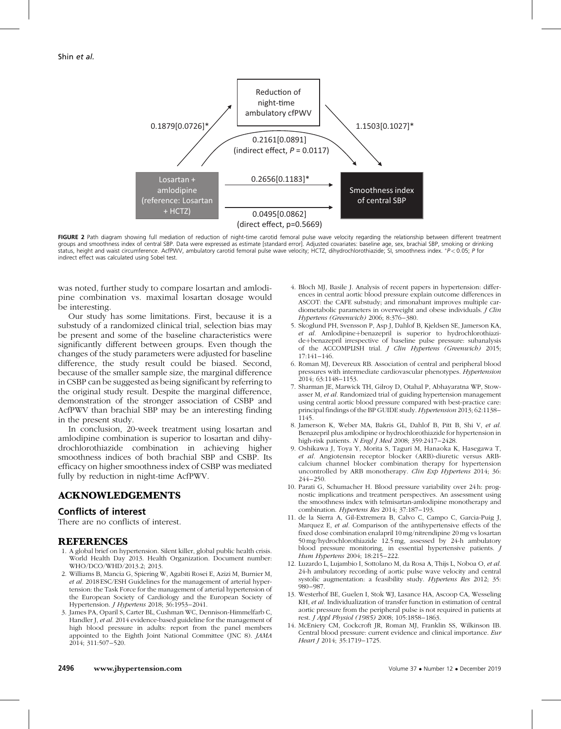<span id="page-6-0"></span>

FIGURE 2 Path diagram showing full mediation of reduction of night-time carotid femoral pulse wave velocity regarding the relationship between different treatment groups and smoothness index of central SBP. Data were expressed as estimate [standard error]. Adjusted covariates: baseline age, sex, brachial SBP, smoking or drinking status, height and waist circumference. AcfPWV, ambulatory carotid femoral pulse wave velocity; HCTZ, dihydrochlorothiazide; SI, smoothness index. \*P<0.05; P for indirect effect was calculated using Sobel test.

was noted, further study to compare losartan and amlodipine combination vs. maximal losartan dosage would be interesting.

Our study has some limitations. First, because it is a substudy of a randomized clinical trial, selection bias may be present and some of the baseline characteristics were significantly different between groups. Even though the changes of the study parameters were adjusted for baseline difference, the study result could be biased. Second, because of the smaller sample size, the marginal difference in CSBP can be suggested as being significant by referring to the original study result. Despite the marginal difference, demonstration of the stronger association of CSBP and AcfPWV than brachial SBP may be an interesting finding in the present study.

In conclusion, 20-week treatment using losartan and amlodipine combination is superior to losartan and dihydrochlorothiazide combination in achieving higher smoothness indices of both brachial SBP and CSBP. Its efficacy on higher smoothness index of CSBP was mediated fully by reduction in night-time AcfPWV.

# ACKNOWLEDGEMENTS

### Conflicts of interest

There are no conflicts of interest.

## REFERENCES

- 1. A global brief on hypertension. Silent killer, global public health crisis. World Health Day 2013. Health Organization. Document number: WHO/DCO/WHD/2013.2; 2013.
- 2. Williams B, Mancia G, Spiering W, Agabiti Rosei E, Azizi M, Burnier M, et al. 2018 ESC/ESH Guidelines for the management of arterial hypertension: the Task Force for the management of arterial hypertension of the European Society of Cardiology and the European Society of Hypertension. J Hypertens 2018; 36:1953–2041.
- 3. James PA, Oparil S, Carter BL, Cushman WC, Dennison-Himmelfarb C, Handler J, et al. 2014 evidence-based guideline for the management of high blood pressure in adults: report from the panel members appointed to the Eighth Joint National Committee (JNC 8). JAMA 2014; 311:507–520.
- 4. Bloch MJ, Basile J. Analysis of recent papers in hypertension: differences in central aortic blood pressure explain outcome differences in ASCOT: the CAFE substudy; and rimonabant improves multiple cardiometabolic parameters in overweight and obese individuals. J Clin Hypertens (Greenwich) 2006; 8:376–380.
- 5. Skoglund PH, Svensson P, Asp J, Dahlof B, Kjeldsen SE, Jamerson KA, et al. Amlodipine+benazepril is superior to hydrochlorothiazide+benazepril irrespective of baseline pulse pressure: subanalysis of the ACCOMPLISH trial. J Clin Hypertens (Greenwich) 2015; 17:141–146.
- 6. Roman MJ, Devereux RB. Association of central and peripheral blood pressures with intermediate cardiovascular phenotypes. Hypertension 2014; 63:1148–1153.
- 7. Sharman JE, Marwick TH, Gilroy D, Otahal P, Abhayaratna WP, Stowasser M, et al. Randomized trial of guiding hypertension management using central aortic blood pressure compared with best-practice care: principal findings of the BP GUIDE study. Hypertension 2013; 62:1138– 1145.
- 8. Jamerson K, Weber MA, Bakris GL, Dahlof B, Pitt B, Shi V, et al. Benazepril plus amlodipine or hydrochlorothiazide for hypertension in high-risk patients. N Engl J Med 2008; 359:2417–2428.
- 9. Oshikawa J, Toya Y, Morita S, Taguri M, Hanaoka K, Hasegawa T, et al. Angiotensin receptor blocker (ARB)-diuretic versus ARBcalcium channel blocker combination therapy for hypertension uncontrolled by ARB monotherapy. Clin Exp Hypertens 2014; 36: 244–250.
- 10. Parati G, Schumacher H. Blood pressure variability over 24 h: prognostic implications and treatment perspectives. An assessment using the smoothness index with telmisartan-amlodipine monotherapy and combination. Hypertens Res 2014; 37:187–193.
- 11. de la Sierra A, Gil-Extremera B, Calvo C, Campo C, Garcia-Puig J, Marquez E, et al. Comparison of the antihypertensive effects of the fixed dose combination enalapril 10 mg/nitrendipine 20 mg vs losartan 50 mg/hydrochlorothiazide 12.5 mg, assessed by 24-h ambulatory blood pressure monitoring, in essential hypertensive patients. J Hum Hypertens 2004; 18:215–222.
- 12. Luzardo L, Lujambio I, Sottolano M, da Rosa A, Thijs L, Noboa O, et al. 24-h ambulatory recording of aortic pulse wave velocity and central systolic augmentation: a feasibility study. Hypertens Res 2012; 35: 980–987.
- 13. Westerhof BE, Guelen I, Stok WJ, Lasance HA, Ascoop CA, Wesseling KH, et al. Individualization of transfer function in estimation of central aortic pressure from the peripheral pulse is not required in patients at rest. J Appl Physiol (1985) 2008; 105:1858–1863.
- 14. McEniery CM, Cockcroft JR, Roman MJ, Franklin SS, Wilkinson IB. Central blood pressure: current evidence and clinical importance. Eur Heart J 2014; 35:1719-1725.